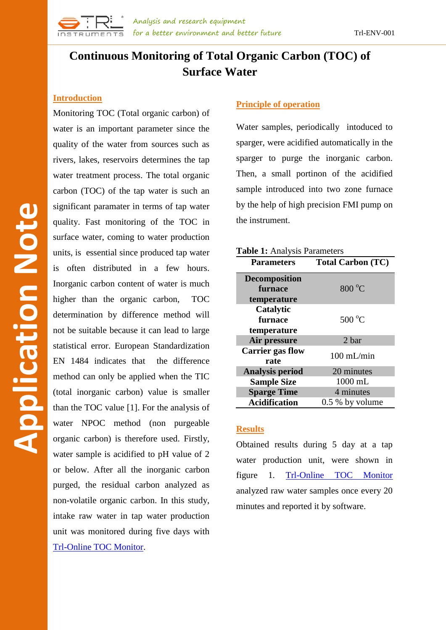

# **Continuous Monitoring of Total Organic Carbon (TOC) of Surface Water**

### **Introduction**

Monitoring TOC (Total organic carbon) of water is an important parameter since the quality of the water from sources such as rivers, lakes, reservoirs determines the tap water treatment process. The total organic carbon (TOC) of the tap water is such an significant paramater in terms of tap water quality. Fast monitoring of the TOC in surface water, coming to water production units, is essential since produced tap water is often distributed in a few hours. Inorganic carbon content of water is much higher than the organic carbon, TOC determination by difference method will not be suitable because it can lead to large statistical error. European Standardization EN 1484 indicates that the difference method can only be applied when the TIC (total inorganic carbon) value is smaller than the TOC value [1]. For the analysis of water NPOC method (non purgeable organic carbon) is therefore used. Firstly, water sample is acidified to pH value of 2 or below. After all the inorganic carbon purged, the residual carbon analyzed as non-volatile organic carbon. In this study, intake raw water in tap water production unit was monitored during five days with [Trl-Online TOC Monitor.](http://www.trlinstruments.com/product/online-toc-analyzer.html)

### **Principle of operation**

Water samples, periodically intoduced to sparger, were acidified automatically in the sparger to purge the inorganic carbon. Then, a small portinon of the acidified sample introduced into two zone furnace by the help of high precision FMI pump on the instrument.

| Table 1: Analysis Parameters |                          |
|------------------------------|--------------------------|
| <b>Parameters</b>            | <b>Total Carbon (TC)</b> |
| <b>Decomposition</b>         |                          |
| furnace                      | $800\text{ °C}$          |
| temperature                  |                          |
| Catalytic                    |                          |
| furnace                      | $500^{\circ}$ C          |
| temperature                  |                          |
| Air pressure                 | 2 bar                    |
| <b>Carrier gas flow</b>      | $100$ mL/min             |
| rate                         |                          |
| <b>Analysis period</b>       | 20 minutes               |
| <b>Sample Size</b>           | 1000 mL                  |
| <b>Sparge Time</b>           | 4 minutes                |
| <b>Acidification</b>         | $0.5\%$ by volume        |

# **Results**

Obtained results during 5 day at a tap water production unit, were shown in figure 1. [Trl-Online TOC Monitor](http://www.trlinstruments.com/product/online-toc-analyzer.html) analyzed raw water samples once every 20 minutes and reported it by software.